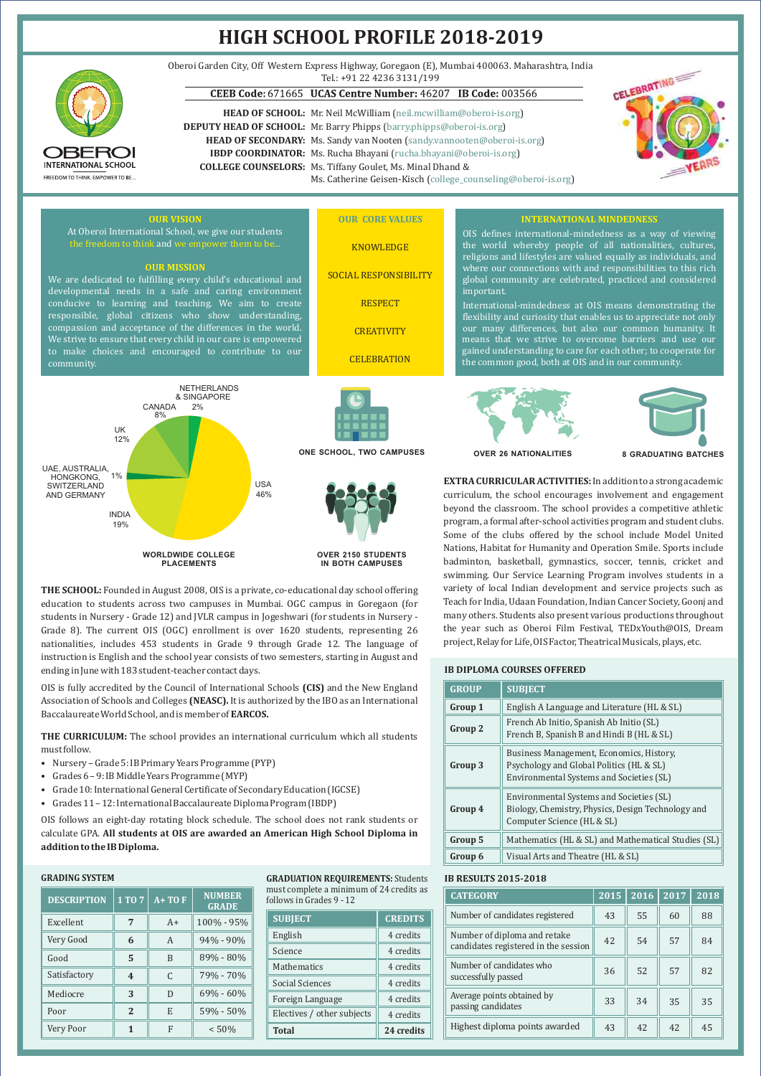

**OVER 2150 STUDENTS IN BOTH CAMPUSES**

**THE SCHOOL:** Founded in August 2008, OIS is a private, co-educational day school offering education to students across two campuses in Mumbai. OGC campus in Goregaon (for Grade 8). The current OIS (OGC) enrollment is over 1620 students, representing 26 nationalities, includes 453 students in Grade 9 through Grade 12. The language of instruction is English and the school year consists of two semesters, starting in August and ending in June with 183 student-teacher contact days. students in Nursery - Grade 12) and JVLR campus in Jogeshwari (for students in Nursery -

OIS is fully accredited by the Council of International Schools **(CIS)** and the New England Association of Schools and Colleges **(NEASC).** It is authorized by the IBO as an International Baccalaureate World School, and is member of **EARCOS.**

**THE CURRICULUM:** The school provides an international curriculum which all students must follow.

- Nursery Grade 5: IB Primary Years Programme (PYP)
- Grades 6 9: IB Middle Years Programme (MYP)
- Grade 10: International General Certificate of Secondary Education (IGCSE)
- Grades 11 12: International Baccalaureate Diploma Program (IBDP)

**WORLDWIDE COLLEGE PLACEMENTS**

OIS follows an eight-day rotating block schedule. The school does not rank students or calculate GPA. **All students at OIS are awarded an American High School Diploma in addition to the IB Diploma.**

## **GRADING SYSTEM**

| <b>DESCRIPTION</b> | 1 TO 7                  | $A+TOF$        | <b>NUMBER</b><br><b>GRADE</b> | must complete a minimum of 24 credits<br>follows in Grades 9 - 12 |                |  |
|--------------------|-------------------------|----------------|-------------------------------|-------------------------------------------------------------------|----------------|--|
| Excellent          | 7                       | $A+$           | 100% - 95%                    | <b>SUBJECT</b>                                                    | <b>CREDIT:</b> |  |
| Very Good          | 6                       | $\overline{A}$ | $94\% - 90\%$                 | English                                                           | 4 credits      |  |
| Good               | 5                       | B              | 89% - 80%                     | Science                                                           | 4 credits      |  |
|                    |                         |                |                               | Mathematics                                                       | 4 credits      |  |
| Satisfactory       | $\overline{\mathbf{4}}$ | $\mathcal{C}$  | 79% - 70%                     | <b>Social Sciences</b>                                            | 4 credits      |  |
| Mediocre           | 3                       | D              | $69\% - 60\%$                 | Foreign Language                                                  | 4 credits      |  |
| Poor               | $\overline{2}$          | E              | 59% - 50%                     | Electives / other subjects                                        | 4 credits      |  |
| Very Poor          | $\mathbf{1}$            | F              | < 50%                         | <b>Total</b>                                                      | 24 credit      |  |

**GRADUATION REQUIREMENTS:** Students must complete a minimum of 24 credits as follows in Grades 9 - 12

| <b>SUBJECT</b>             | <b>CREDITS</b> |  |  |
|----------------------------|----------------|--|--|
| English                    | 4 credits      |  |  |
| Science                    | 4 credits      |  |  |
| Mathematics                | 4 credits      |  |  |
| Social Sciences            | 4 credits      |  |  |
| Foreign Language           | 4 credits      |  |  |
| Electives / other subjects | 4 credits      |  |  |
| <b>Total</b>               | 24 credits     |  |  |

Some of the clubs offered by the school include Model United Nations, Habitat for Humanity and Operation Smile. Sports include badminton, basketball, gymnastics, soccer, tennis, cricket and swimming. Our Service Learning Program involves students in a variety of local Indian development and service projects such as Teach for India, Udaan Foundation, Indian Cancer Society, Goonj and many others. Students also present various productions throughout the year such as Oberoi Film Festival, TEDxYouth@OIS, Dream project, Relay for Life, OIS Factor, Theatrical Musicals, plays, etc.

#### **IB DIPLOMA COURSES OFFERED**

| <b>GROUP</b> | <b>SUBJECT</b>                                                                                                                   |  |
|--------------|----------------------------------------------------------------------------------------------------------------------------------|--|
| Group 1      | English A Language and Literature (HL & SL)                                                                                      |  |
| Group 2      | French Ab Initio, Spanish Ab Initio (SL)<br>French B, Spanish B and Hindi B (HL & SL)                                            |  |
| Group 3      | Business Management, Economics, History,<br>Psychology and Global Politics (HL & SL)<br>Environmental Systems and Societies (SL) |  |
| Group 4      | Environmental Systems and Societies (SL)<br>Biology, Chemistry, Physics, Design Technology and<br>Computer Science (HL & SL)     |  |
| Group 5      | Mathematics (HL & SL) and Mathematical Studies (SL)                                                                              |  |
| Group 6      | Visual Arts and Theatre (HL & SL)                                                                                                |  |

## **IB RESULTS 2015-2018**

| <b>CATEGORY</b>                                                      | 2015 | 2016 | 2017 | 2018 |
|----------------------------------------------------------------------|------|------|------|------|
| Number of candidates registered                                      | 43   | 55   | 60   | 88   |
| Number of diploma and retake<br>candidates registered in the session | 42   | 54   | 57   | 84   |
| Number of candidates who<br>successfully passed                      | 36   | 52   | 57   | 82   |
| Average points obtained by<br>passing candidates                     | 33   | 34   | 35   | 35   |
| Highest diploma points awarded                                       | 43   | 42   | 42   | 45   |